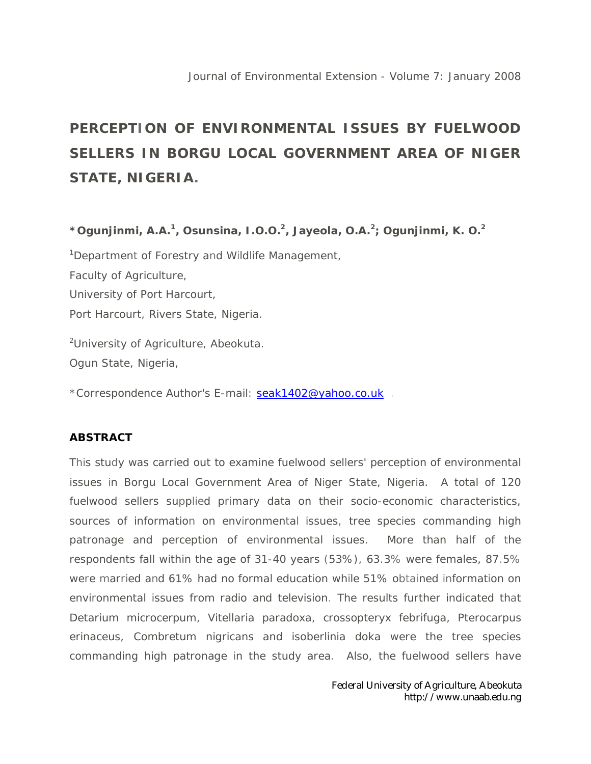## **PERCEPTION OF ENVIRONMENTAL ISSUES BY FUELWOOD SELLERS IN BORGU LOCAL GOVERNMENT AREA OF NIGER STATE, NIGERIA.**

**\*Ogunjinmi, A.A.<sup>1</sup> , Osunsina, I.O.O.<sup>2</sup> , Jayeola, O.A.<sup>2</sup> ; Ogunjinmi, K. O.<sup>2</sup>**

<sup>1</sup>Department of Forestry and Wildlife Management, Faculty of Agriculture, University of Port Harcourt, Port Harcourt, Rivers State, Nigeria.

<sup>2</sup>University of Agriculture, Abeokuta. Ogun State, Nigeria,

\*Correspondence Author's E-mail: seak1402@yahoo.co.uk .

## **ABSTRACT**

This study was carried out to examine fuelwood sellers' perception of environmental issues in Borgu Local Government Area of Niger State, Nigeria. A total of 120 fuelwood sellers supplied primary data on their socio-economic characteristics, sources of information on environmental issues, tree species commanding high patronage and perception of environmental issues. More than half of the respondents fall within the age of 31-40 years (53%), 63.3% were females, 87.5% were married and 61% had no formal education while 51% obtained information on environmental issues from radio and television. The results further indicated that Detarium microcerpum, Vitellaria paradoxa, crossopteryx febrifuga, Pterocarpus erinaceus, Combretum nigricans and isoberlinia doka were the tree species commanding high patronage in the study area. Also, the fuelwood sellers have

> Federal University of Agriculture, Abeokuta http://www.unaab.edu.ng